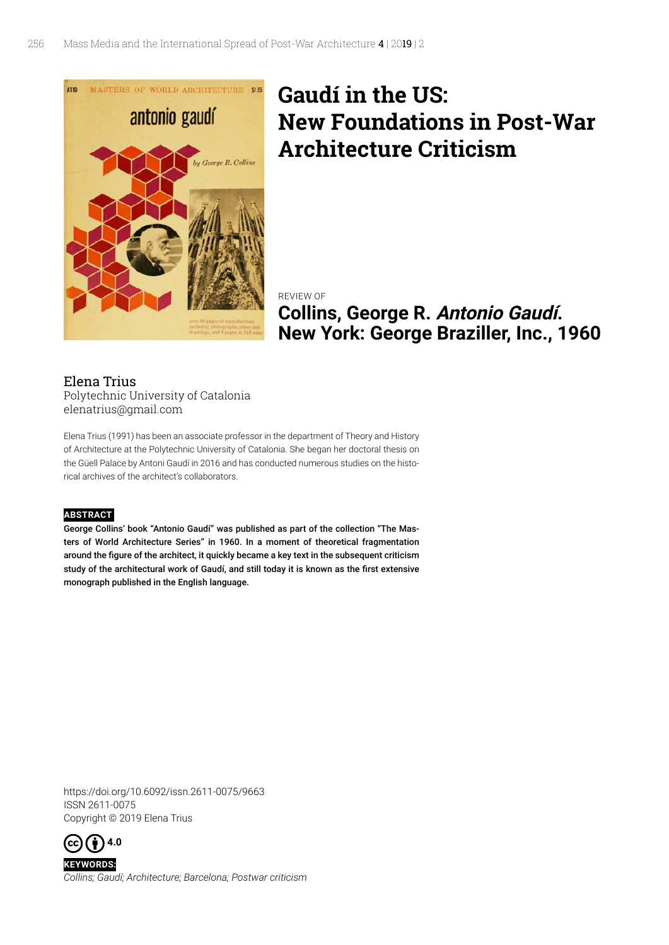

## **Gaudí in the US: New Foundations in Post-War Architecture Criticism**

REVIEW OF **Collins, George R. Antonio Gaudí. New York: George Braziller, Inc., 1960**

## Elena Trius Polytechnic University of Catalonia elenatrius@gmail.com

Elena Trius (1991) has been an associate professor in the department of Theory and History of Architecture at the Polytechnic University of Catalonia. She began her doctoral thesis on the Güell Palace by Antoni Gaudí in 2016 and has conducted numerous studies on the historical archives of the architect's collaborators.

## **ABSTRACT**

George Collins' book "Antonio Gaudí" was published as part of the collection "The Masters of World Architecture Series" in 1960. In a moment of theoretical fragmentation around the figure of the architect, it quickly became a key text in the subsequent criticism study of the architectural work of Gaudí, and still today it is known as the first extensive monograph published in the English language.

https://doi.org/10.6092/issn.2611-0075/9663 ISSN 2611-0075 Copyright © 2019 Elena Trius



**KEYWORDS:** *Collins; Gaudí; Architecture; Barcelona; Postwar criticism*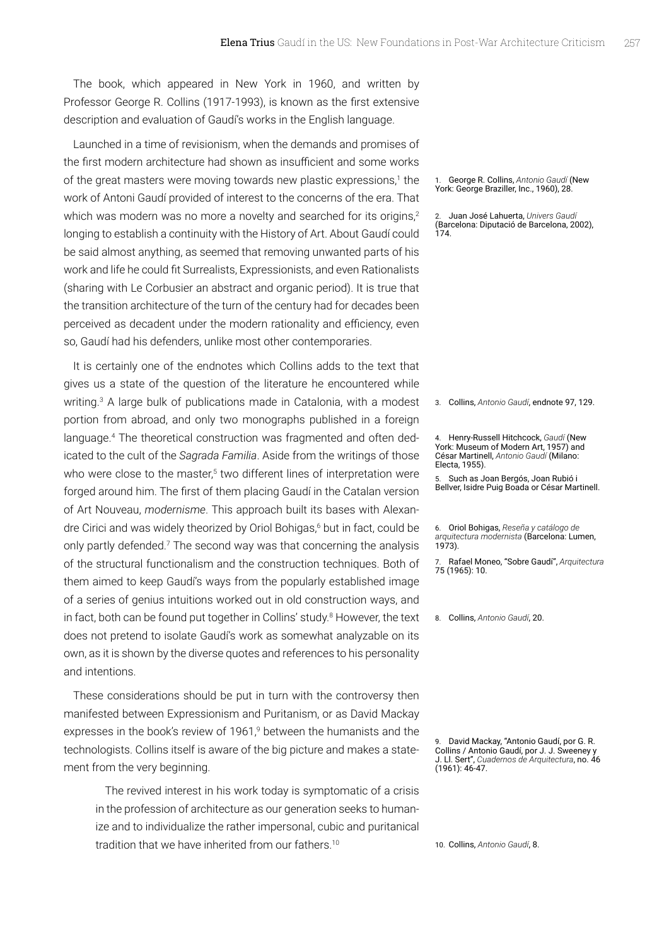The book, which appeared in New York in 1960, and written by Professor George R. Collins (1917-1993), is known as the first extensive description and evaluation of Gaudí's works in the English language.

Launched in a time of revisionism, when the demands and promises of the first modern architecture had shown as insufficient and some works of the great masters were moving towards new plastic expressions,<sup>1</sup> the work of Antoni Gaudí provided of interest to the concerns of the era. That which was modern was no more a novelty and searched for its origins,<sup>2</sup> longing to establish a continuity with the History of Art. About Gaudí could be said almost anything, as seemed that removing unwanted parts of his work and life he could fit Surrealists, Expressionists, and even Rationalists (sharing with Le Corbusier an abstract and organic period). It is true that the transition architecture of the turn of the century had for decades been perceived as decadent under the modern rationality and efficiency, even so, Gaudí had his defenders, unlike most other contemporaries.

It is certainly one of the endnotes which Collins adds to the text that gives us a state of the question of the literature he encountered while writing.<sup>[3](#page-1-0)</sup> A large bulk of publications made in Catalonia, with a modest portion from abroad, and only two monographs published in a foreign language[.4](#page-1-1) The theoretical construction was fragmented and often dedicated to the cult of the *Sagrada Familia*. Aside from the writings of those who were close to the master,<sup>[5](#page-1-2)</sup> two different lines of interpretation were forged around him. The first of them placing Gaudí in the Catalan version of Art Nouveau, *modernisme*. This approach built its bases with Alexandre Cirici and was widely theorized by Oriol Bohigas,<sup>6</sup> but in fact, could be only partly defended.<sup>7</sup> The second way was that concerning the analysis of the structural functionalism and the construction techniques. Both of them aimed to keep Gaudí's ways from the popularly established image of a series of genius intuitions worked out in old construction ways, and in fact, both can be found put together in Collins' study.<sup>8</sup> However, the text does not pretend to isolate Gaudí's work as somewhat analyzable on its own, as it is shown by the diverse quotes and references to his personality and intentions.

These considerations should be put in turn with the controversy then manifested between Expressionism and Puritanism, or as David Mackay expresses in the book's review of 1[9](#page-1-5)61,<sup>9</sup> between the humanists and the technologists. Collins itself is aware of the big picture and makes a statement from the very beginning.

The revived interest in his work today is symptomatic of a crisis in the profession of architecture as our generation seeks to humanize and to individualize the rather impersonal, cubic and puritanical tradition that we have inherited from our fathers.<sup>[10](#page-1-6)</sup>

1. George R. Collins, *Antonio Gaudí* (New York: George Braziller, Inc., 1960), 28.

2. Juan José Lahuerta, *Univers Gaudí*  (Barcelona: Diputació de Barcelona, 2002), 174.

<span id="page-1-0"></span>3. Collins, *Antonio Gaudí*, endnote 97, 129.

<span id="page-1-1"></span>4. Henry-Russell Hitchcock, *Gaudí* (New York: Museum of Modern Art, 1957) and César Martinell, *Antonio Gaudí* (Milano: Electa, 1955).

<span id="page-1-2"></span>5. Such as Joan Bergós, Joan Rubió i Bellver, Isidre Puig Boada or César Martinell.

<span id="page-1-3"></span>7. Rafael Moneo, "Sobre Gaudí", *Arquitectura* 75 (1965): 10.

<span id="page-1-4"></span>8. Collins, *Antonio Gaudí*, 20.

<span id="page-1-5"></span>David Mackay, "Antonio Gaudí, por G. R. Collins / Antonio Gaudí, por J. J. Sweeney y J. Ll. Sert", *Cuadernos de Arquitectura*, no. 46 (1961): 46-47.

<span id="page-1-6"></span>10. Collins, *Antonio Gaudí*, 8.

<sup>6.</sup> Oriol Bohigas, *Reseña y catálogo de arquitectura modernista* (Barcelona: Lumen, 1973).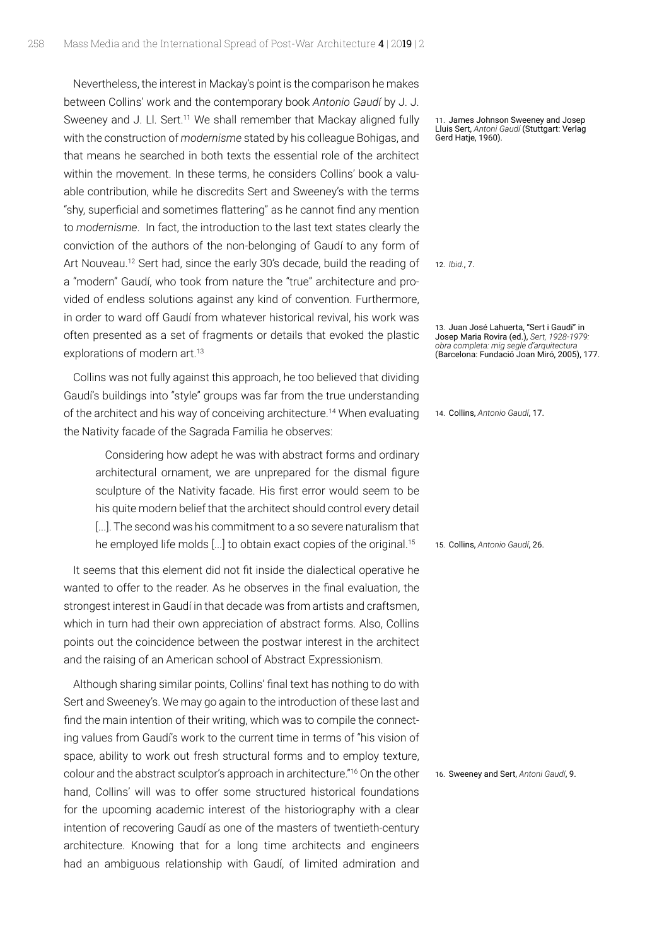Nevertheless, the interest in Mackay's point is the comparison he makes between Collins' work and the contemporary book *Antonio Gaudí* by J. J. Sweeney and J. Ll. Sert.<sup>11</sup> We shall remember that Mackay aligned fully with the construction of *modernisme* stated by his colleague Bohigas, and that means he searched in both texts the essential role of the architect within the movement. In these terms, he considers Collins' book a valuable contribution, while he discredits Sert and Sweeney's with the terms "shy, superficial and sometimes flattering" as he cannot find any mention to *modernisme*. In fact, the introduction to the last text states clearly the conviction of the authors of the non-belonging of Gaudí to any form of Art Nouveau.<sup>[12](#page-2-1)</sup> Sert had, since the early 30's decade, build the reading of a "modern" Gaudí, who took from nature the "true" architecture and provided of endless solutions against any kind of convention. Furthermore, in order to ward off Gaudí from whatever historical revival, his work was often presented as a set of fragments or details that evoked the plastic explorations of modern art.<sup>[13](#page-2-2)</sup>

Collins was not fully against this approach, he too believed that dividing Gaudí's buildings into "style" groups was far from the true understanding of the architect and his way of conceiving architecture[.14](#page-2-3) When evaluating the Nativity facade of the Sagrada Familia he observes:

Considering how adept he was with abstract forms and ordinary architectural ornament, we are unprepared for the dismal figure sculpture of the Nativity facade. His first error would seem to be his quite modern belief that the architect should control every detail [...]. The second was his commitment to a so severe naturalism that he employed life molds [...] to obtain exact copies of the original.<sup>[15](#page-2-4)</sup>

It seems that this element did not fit inside the dialectical operative he wanted to offer to the reader. As he observes in the final evaluation, the strongest interest in Gaudí in that decade was from artists and craftsmen, which in turn had their own appreciation of abstract forms. Also, Collins points out the coincidence between the postwar interest in the architect and the raising of an American school of Abstract Expressionism.

Although sharing similar points, Collins' final text has nothing to do with Sert and Sweeney's. We may go again to the introduction of these last and find the main intention of their writing, which was to compile the connecting values from Gaudí's work to the current time in terms of "his vision of space, ability to work out fresh structural forms and to employ texture, colour and the abstract sculptor's approach in architecture."[16](#page-2-5) On the other hand, Collins' will was to offer some structured historical foundations for the upcoming academic interest of the historiography with a clear intention of recovering Gaudí as one of the masters of twentieth-century architecture. Knowing that for a long time architects and engineers had an ambiguous relationship with Gaudí, of limited admiration and

<span id="page-2-0"></span>11. James Johnson Sweeney and Josep Lluis Sert, *Antoni Gaudí* (Stuttgart: Verlag Gerd Hatje, 1960).

<span id="page-2-1"></span>12. *Ibid.*, 7.

<span id="page-2-2"></span>13. Juan José Lahuerta, "Sert i Gaudí" in Josep Maria Rovira (ed.), *Sert, 1928-1979: obra completa: mig segle d'arquitectura* (Barcelona: Fundació Joan Miró, 2005), 177.

<span id="page-2-3"></span>14. Collins, *Antonio Gaudí*, 17.

<span id="page-2-4"></span>15. Collins, *Antonio Gaudí*, 26.

<span id="page-2-5"></span>16. Sweeney and Sert, *Antoni Gaudí*, 9.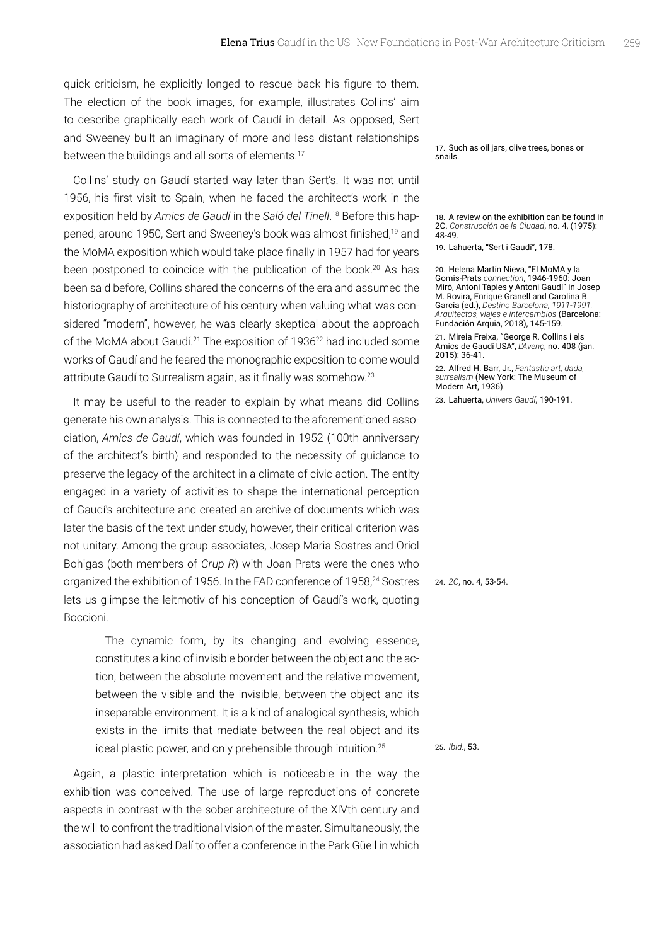quick criticism, he explicitly longed to rescue back his figure to them. The election of the book images, for example, illustrates Collins' aim to describe graphically each work of Gaudí in detail. As opposed, Sert and Sweeney built an imaginary of more and less distant relationships between the buildings and all sorts of elements.<sup>[17](#page-3-0)</sup>

Collins' study on Gaudí started way later than Sert's. It was not until 1956, his first visit to Spain, when he faced the architect's work in the exposition held by *Amics de Gaudí* in the *Saló del Tinell*. [18](#page-3-1) Before this hap-pened, around [19](#page-3-2)50, Sert and Sweeney's book was almost finished,<sup>19</sup> and the MoMA exposition which would take place finally in 1957 had for years been postponed to coincide with the publication of the book.<sup>[20](#page-3-3)</sup> As has been said before, Collins shared the concerns of the era and assumed the historiography of architecture of his century when valuing what was considered "modern", however, he was clearly skeptical about the approach of the MoMA about Gaudí.<sup>[21](#page-3-4)</sup> The exposition of 1936<sup>22</sup> had included some works of Gaudí and he feared the monographic exposition to come would attribute Gaudí to Surrealism again, as it finally was somehow.[23](#page-3-6)

It may be useful to the reader to explain by what means did Collins generate his own analysis. This is connected to the aforementioned association, *Amics de Gaudí*, which was founded in 1952 (100th anniversary of the architect's birth) and responded to the necessity of guidance to preserve the legacy of the architect in a climate of civic action. The entity engaged in a variety of activities to shape the international perception of Gaudí's architecture and created an archive of documents which was later the basis of the text under study, however, their critical criterion was not unitary. Among the group associates, Josep Maria Sostres and Oriol Bohigas (both members of *Grup R*) with Joan Prats were the ones who organized the exhibition of 1956. In the FAD conference of 1958,<sup>24</sup> Sostres lets us glimpse the leitmotiv of his conception of Gaudí's work, quoting Boccioni.

The dynamic form, by its changing and evolving essence, constitutes a kind of invisible border between the object and the action, between the absolute movement and the relative movement, between the visible and the invisible, between the object and its inseparable environment. It is a kind of analogical synthesis, which exists in the limits that mediate between the real object and its ideal plastic power, and only prehensible through intuition.<sup>[25](#page-3-8)</sup>

Again, a plastic interpretation which is noticeable in the way the exhibition was conceived. The use of large reproductions of concrete aspects in contrast with the sober architecture of the XIVth century and the will to confront the traditional vision of the master. Simultaneously, the association had asked Dalí to offer a conference in the Park Güell in which

<span id="page-3-0"></span>17. Such as oil jars, olive trees, bones or snails.

<span id="page-3-1"></span>18. A review on the exhibition can be found in 2C. *Construcción de la Ciudad*, no. 4, (1975): 48-49.

<span id="page-3-2"></span>19. Lahuerta, "Sert i Gaudí", 178.

<span id="page-3-3"></span>20. Helena Martín Nieva, "El MoMA y la Gomis-Prats *connection*, 1946-1960: Joan Miró, Antoni Tàpies y Antoni Gaudí" in Josep M. Rovira, Enrique Granell and Carolina B. García (ed.), *Destino Barcelona, 1911-1991. Arquitectos, viajes e intercambios* (Barcelona: Fundación Arquia, 2018), 145-159.

<span id="page-3-4"></span>21. Mireia Freixa, "George R. Collins i els Amics de Gaudí USA", *L'Avenç*, no. 408 (jan. 2015): 36-41.

<span id="page-3-5"></span>22. Alfred H. Barr, Jr., *Fantastic art, dada, surrealism* (New York: The Museum of Modern Art, 1936).

<span id="page-3-6"></span>23. Lahuerta, *Univers Gaudí*, 190-191.

## <span id="page-3-7"></span>24. *2C*, no. 4, 53-54.

<span id="page-3-8"></span>25. *Ibid.*, 53.